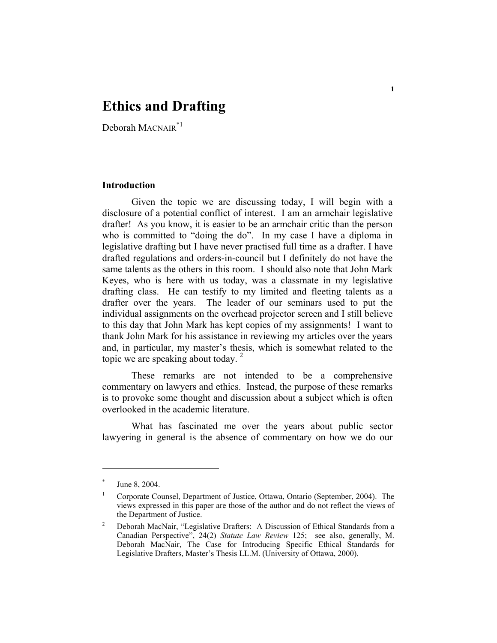## **Ethics and Drafting**

Deborah MACNAIR\*1

## **Introduction**

Given the topic we are discussing today, I will begin with a disclosure of a potential conflict of interest. I am an armchair legislative drafter! As you know, it is easier to be an armchair critic than the person who is committed to "doing the do". In my case I have a diploma in legislative drafting but I have never practised full time as a drafter. I have drafted regulations and orders-in-council but I definitely do not have the same talents as the others in this room. I should also note that John Mark Keyes, who is here with us today, was a classmate in my legislative drafting class. He can testify to my limited and fleeting talents as a drafter over the years. The leader of our seminars used to put the individual assignments on the overhead projector screen and I still believe to this day that John Mark has kept copies of my assignments! I want to thank John Mark for his assistance in reviewing my articles over the years and, in particular, my master's thesis, which is somewhat related to the topic we are speaking about today.  $2^2$ 

These remarks are not intended to be a comprehensive commentary on lawyers and ethics. Instead, the purpose of these remarks is to provoke some thought and discussion about a subject which is often overlooked in the academic literature.

What has fascinated me over the years about public sector lawyering in general is the absence of commentary on how we do our

<sup>\*</sup> June 8, 2004.

<sup>1</sup> Corporate Counsel, Department of Justice, Ottawa, Ontario (September, 2004). The views expressed in this paper are those of the author and do not reflect the views of the Department of Justice.

<sup>2</sup> Deborah MacNair, "Legislative Drafters: A Discussion of Ethical Standards from a Canadian Perspective", 24(2) *Statute Law Review* 125; see also, generally, M. Deborah MacNair, The Case for Introducing Specific Ethical Standards for Legislative Drafters, Master's Thesis LL.M. (University of Ottawa, 2000).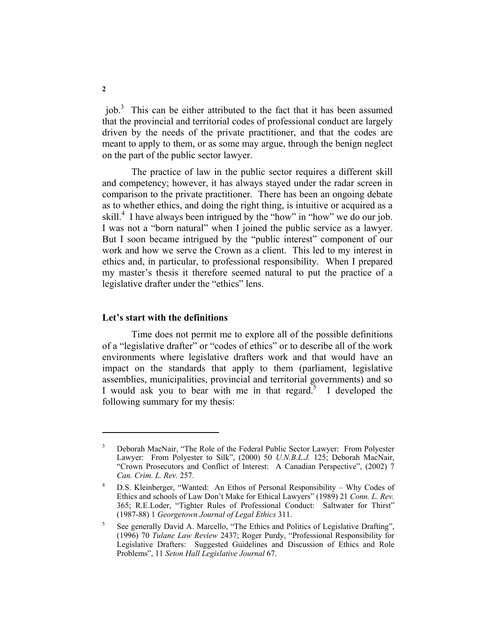job.<sup>3</sup> This can be either attributed to the fact that it has been assumed that the provincial and territorial codes of professional conduct are largely driven by the needs of the private practitioner, and that the codes are meant to apply to them, or as some may argue, through the benign neglect on the part of the public sector lawyer.

The practice of law in the public sector requires a different skill and competency; however, it has always stayed under the radar screen in comparison to the private practitioner. There has been an ongoing debate as to whether ethics, and doing the right thing, is intuitive or acquired as a skill.<sup>4</sup> I have always been intrigued by the "how" in "how" we do our job. I was not a "born natural" when I joined the public service as a lawyer. But I soon became intrigued by the "public interest" component of our work and how we serve the Crown as a client. This led to my interest in ethics and, in particular, to professional responsibility. When I prepared my master's thesis it therefore seemed natural to put the practice of a legislative drafter under the "ethics" lens.

## **Let's start with the definitions**

Time does not permit me to explore all of the possible definitions of a "legislative drafter" or "codes of ethics" or to describe all of the work environments where legislative drafters work and that would have an impact on the standards that apply to them (parliament, legislative assemblies, municipalities, provincial and territorial governments) and so I would ask you to bear with me in that regard.<sup>5</sup> I developed the following summary for my thesis:

<sup>3</sup> Deborah MacNair, "The Role of the Federal Public Sector Lawyer: From Polyester Lawyer: From Polyester to Silk", (2000) 50 *U.N.B.L.J.* 125; Deborah MacNair, "Crown Prosecutors and Conflict of Interest: A Canadian Perspective", (2002) 7 *Can. Crim. L. Rev.* 257.

<sup>4</sup> D.S. Kleinberger, "Wanted: An Ethos of Personal Responsibility – Why Codes of Ethics and schools of Law Don't Make for Ethical Lawyers" (1989) 21 *Conn. L. Rev.* 365; R.E.Loder, "Tighter Rules of Professional Conduct: Saltwater for Thirst" (1987-88) 1 *Georgetown Journal of Legal Ethics* 311.

<sup>5</sup> See generally David A. Marcello, "The Ethics and Politics of Legislative Drafting", (1996) 70 *Tulane Law Review* 2437; Roger Purdy, "Professional Responsibility for Legislative Drafters: Suggested Guidelines and Discussion of Ethics and Role Problems", 11 *Seton Hall Legislative Journal* 67.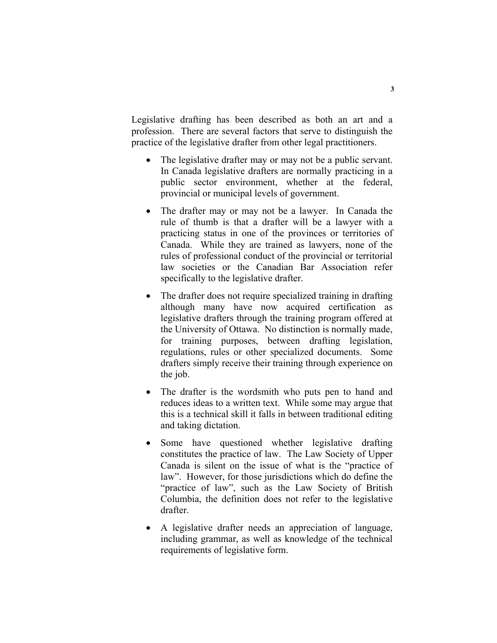Legislative drafting has been described as both an art and a profession. There are several factors that serve to distinguish the practice of the legislative drafter from other legal practitioners.

- The legislative drafter may or may not be a public servant. In Canada legislative drafters are normally practicing in a public sector environment, whether at the federal, provincial or municipal levels of government.
- The drafter may or may not be a lawyer. In Canada the rule of thumb is that a drafter will be a lawyer with a practicing status in one of the provinces or territories of Canada. While they are trained as lawyers, none of the rules of professional conduct of the provincial or territorial law societies or the Canadian Bar Association refer specifically to the legislative drafter.
- The drafter does not require specialized training in drafting although many have now acquired certification as legislative drafters through the training program offered at the University of Ottawa. No distinction is normally made, for training purposes, between drafting legislation, regulations, rules or other specialized documents. Some drafters simply receive their training through experience on the job.
- The drafter is the wordsmith who puts pen to hand and reduces ideas to a written text. While some may argue that this is a technical skill it falls in between traditional editing and taking dictation.
- Some have questioned whether legislative drafting constitutes the practice of law. The Law Society of Upper Canada is silent on the issue of what is the "practice of law". However, for those jurisdictions which do define the "practice of law", such as the Law Society of British Columbia, the definition does not refer to the legislative drafter.
- A legislative drafter needs an appreciation of language, including grammar, as well as knowledge of the technical requirements of legislative form.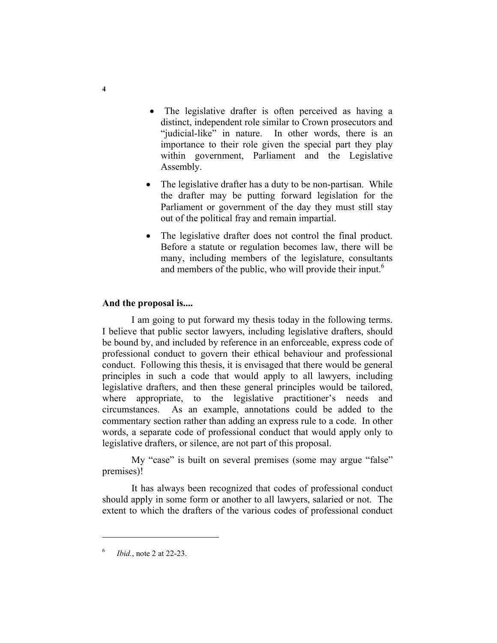- The legislative drafter is often perceived as having a distinct, independent role similar to Crown prosecutors and "judicial-like" in nature. In other words, there is an importance to their role given the special part they play within government, Parliament and the Legislative Assembly.
- The legislative drafter has a duty to be non-partisan. While the drafter may be putting forward legislation for the Parliament or government of the day they must still stay out of the political fray and remain impartial.
- The legislative drafter does not control the final product. Before a statute or regulation becomes law, there will be many, including members of the legislature, consultants and members of the public, who will provide their input.<sup>6</sup>

## **And the proposal is....**

I am going to put forward my thesis today in the following terms. I believe that public sector lawyers, including legislative drafters, should be bound by, and included by reference in an enforceable, express code of professional conduct to govern their ethical behaviour and professional conduct. Following this thesis, it is envisaged that there would be general principles in such a code that would apply to all lawyers, including legislative drafters, and then these general principles would be tailored, where appropriate, to the legislative practitioner's needs and circumstances. As an example, annotations could be added to the commentary section rather than adding an express rule to a code. In other words, a separate code of professional conduct that would apply only to legislative drafters, or silence, are not part of this proposal.

My "case" is built on several premises (some may argue "false" premises)!

It has always been recognized that codes of professional conduct should apply in some form or another to all lawyers, salaried or not. The extent to which the drafters of the various codes of professional conduct

<sup>6</sup> *Ibid.*, note 2 at 22-23.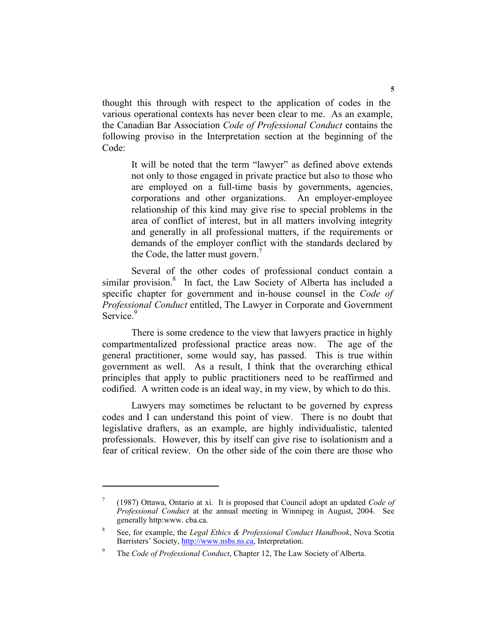thought this through with respect to the application of codes in the various operational contexts has never been clear to me. As an example, the Canadian Bar Association *Code of Professional Conduct* contains the following proviso in the Interpretation section at the beginning of the Code:

It will be noted that the term "lawyer" as defined above extends not only to those engaged in private practice but also to those who are employed on a full-time basis by governments, agencies, corporations and other organizations. An employer-employee relationship of this kind may give rise to special problems in the area of conflict of interest, but in all matters involving integrity and generally in all professional matters, if the requirements or demands of the employer conflict with the standards declared by the Code, the latter must govern.<sup>7</sup>

Several of the other codes of professional conduct contain a similar provision.<sup>8</sup> In fact, the Law Society of Alberta has included a specific chapter for government and in-house counsel in the *Code of Professional Conduct* entitled, The Lawyer in Corporate and Government Service.<sup>9</sup>

There is some credence to the view that lawyers practice in highly compartmentalized professional practice areas now. The age of the general practitioner, some would say, has passed. This is true within government as well. As a result, I think that the overarching ethical principles that apply to public practitioners need to be reaffirmed and codified. A written code is an ideal way, in my view, by which to do this.

Lawyers may sometimes be reluctant to be governed by express codes and I can understand this point of view. There is no doubt that legislative drafters, as an example, are highly individualistic, talented professionals. However, this by itself can give rise to isolationism and a fear of critical review. On the other side of the coin there are those who

<sup>7</sup> (1987) Ottawa, Ontario at xi. It is proposed that Council adopt an updated *Code of Professional Conduct* at the annual meeting in Winnipeg in August, 2004. See generally http:www. cba.ca.

<sup>8</sup> See, for example, the *Legal Ethics & Professional Conduct Handbook*, Nova Scotia Barristers' Society, http://www.nsbs.ns.ca, Interpretation.

<sup>9</sup> The *Code of Professional Conduct*, Chapter 12, The Law Society of Alberta.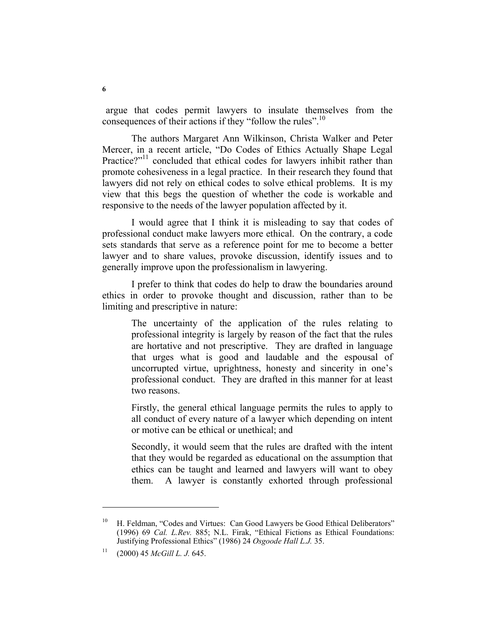argue that codes permit lawyers to insulate themselves from the consequences of their actions if they "follow the rules".<sup>10</sup>

The authors Margaret Ann Wilkinson, Christa Walker and Peter Mercer, in a recent article, "Do Codes of Ethics Actually Shape Legal Practice?"<sup>11</sup> concluded that ethical codes for lawyers inhibit rather than promote cohesiveness in a legal practice. In their research they found that lawyers did not rely on ethical codes to solve ethical problems. It is my view that this begs the question of whether the code is workable and responsive to the needs of the lawyer population affected by it.

I would agree that I think it is misleading to say that codes of professional conduct make lawyers more ethical. On the contrary, a code sets standards that serve as a reference point for me to become a better lawyer and to share values, provoke discussion, identify issues and to generally improve upon the professionalism in lawyering.

I prefer to think that codes do help to draw the boundaries around ethics in order to provoke thought and discussion, rather than to be limiting and prescriptive in nature:

The uncertainty of the application of the rules relating to professional integrity is largely by reason of the fact that the rules are hortative and not prescriptive. They are drafted in language that urges what is good and laudable and the espousal of uncorrupted virtue, uprightness, honesty and sincerity in one's professional conduct. They are drafted in this manner for at least two reasons.

Firstly, the general ethical language permits the rules to apply to all conduct of every nature of a lawyer which depending on intent or motive can be ethical or unethical; and

Secondly, it would seem that the rules are drafted with the intent that they would be regarded as educational on the assumption that ethics can be taught and learned and lawyers will want to obey them. A lawyer is constantly exhorted through professional

H. Feldman, "Codes and Virtues: Can Good Lawyers be Good Ethical Deliberators" (1996) 69 *Cal. L.Rev.* 885; N.L. Firak, "Ethical Fictions as Ethical Foundations: Justifying Professional Ethics" (1986) 24 *Osgoode Hall L.J.* 35.

<sup>11 (2000) 45</sup> *McGill L. J.* 645.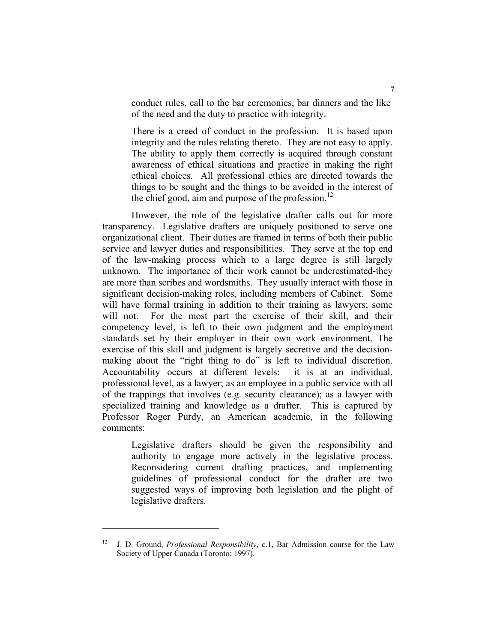conduct rules, call to the bar ceremonies, bar dinners and the like of the need and the duty to practice with integrity.

There is a creed of conduct in the profession. It is based upon integrity and the rules relating thereto. They are not easy to apply. The ability to apply them correctly is acquired through constant awareness of ethical situations and practice in making the right ethical choices. All professional ethics are directed towards the things to be sought and the things to be avoided in the interest of the chief good, aim and purpose of the profession.<sup>12</sup>

However, the role of the legislative drafter calls out for more transparency. Legislative drafters are uniquely positioned to serve one organizational client. Their duties are framed in terms of both their public service and lawyer duties and responsibilities. They serve at the top end of the law-making process which to a large degree is still largely unknown. The importance of their work cannot be underestimated-they are more than scribes and wordsmiths. They usually interact with those in significant decision-making roles, including members of Cabinet. Some will have formal training in addition to their training as lawyers; some will not. For the most part the exercise of their skill, and their competency level, is left to their own judgment and the employment standards set by their employer in their own work environment. The exercise of this skill and judgment is largely secretive and the decisionmaking about the "right thing to do" is left to individual discretion. Accountability occurs at different levels: it is at an individual, professional level, as a lawyer; as an employee in a public service with all of the trappings that involves (e.g. security clearance); as a lawyer with specialized training and knowledge as a drafter. This is captured by Professor Roger Purdy, an American academic, in the following comments:

Legislative drafters should be given the responsibility and authority to engage more actively in the legislative process. Reconsidering current drafting practices, and implementing guidelines of professional conduct for the drafter are two suggested ways of improving both legislation and the plight of legislative drafters.

<sup>12</sup> J. D. Ground, *Professional Responsibility*, c.1, Bar Admission course for the Law Society of Upper Canada (Toronto: 1997).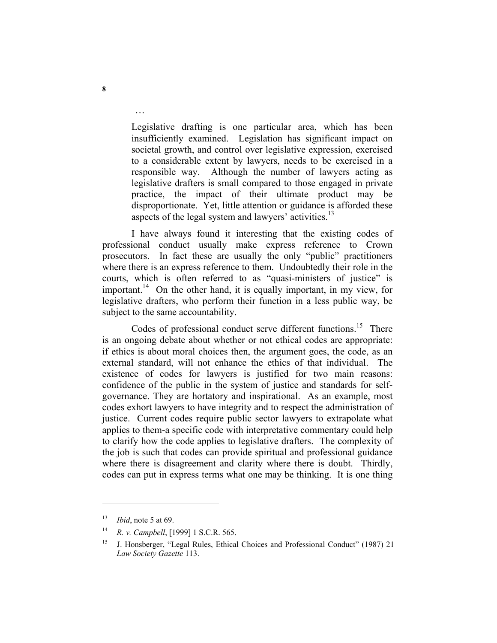Legislative drafting is one particular area, which has been insufficiently examined. Legislation has significant impact on societal growth, and control over legislative expression, exercised to a considerable extent by lawyers, needs to be exercised in a responsible way. Although the number of lawyers acting as legislative drafters is small compared to those engaged in private practice, the impact of their ultimate product may be disproportionate. Yet, little attention or guidance is afforded these aspects of the legal system and lawyers' activities.<sup>13</sup>

I have always found it interesting that the existing codes of professional conduct usually make express reference to Crown prosecutors. In fact these are usually the only "public" practitioners where there is an express reference to them. Undoubtedly their role in the courts, which is often referred to as "quasi-ministers of justice" is important.<sup>14</sup> On the other hand, it is equally important, in my view, for legislative drafters, who perform their function in a less public way, be subject to the same accountability.

Codes of professional conduct serve different functions.<sup>15</sup> There is an ongoing debate about whether or not ethical codes are appropriate: if ethics is about moral choices then, the argument goes, the code, as an external standard, will not enhance the ethics of that individual. The existence of codes for lawyers is justified for two main reasons: confidence of the public in the system of justice and standards for selfgovernance. They are hortatory and inspirational. As an example, most codes exhort lawyers to have integrity and to respect the administration of justice. Current codes require public sector lawyers to extrapolate what applies to them-a specific code with interpretative commentary could help to clarify how the code applies to legislative drafters. The complexity of the job is such that codes can provide spiritual and professional guidance where there is disagreement and clarity where there is doubt. Thirdly, codes can put in express terms what one may be thinking. It is one thing

…

<sup>13</sup> *Ibid*, note 5 at 69.

<sup>14</sup> *R. v. Campbell*, [1999] 1 S.C.R. 565.

<sup>&</sup>lt;sup>15</sup> J. Honsberger, "Legal Rules, Ethical Choices and Professional Conduct" (1987) 21 *Law Society Gazette* 113.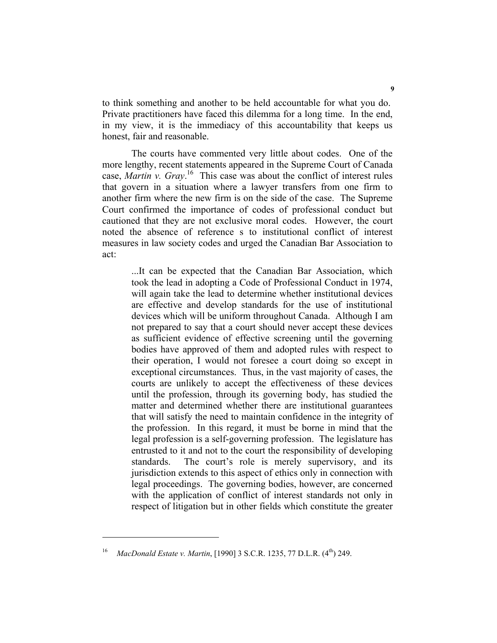to think something and another to be held accountable for what you do. Private practitioners have faced this dilemma for a long time. In the end, in my view, it is the immediacy of this accountability that keeps us honest, fair and reasonable.

The courts have commented very little about codes. One of the more lengthy, recent statements appeared in the Supreme Court of Canada case, *Martin v. Gray*. 16 This case was about the conflict of interest rules that govern in a situation where a lawyer transfers from one firm to another firm where the new firm is on the side of the case. The Supreme Court confirmed the importance of codes of professional conduct but cautioned that they are not exclusive moral codes. However, the court noted the absence of reference s to institutional conflict of interest measures in law society codes and urged the Canadian Bar Association to act:

...It can be expected that the Canadian Bar Association, which took the lead in adopting a Code of Professional Conduct in 1974, will again take the lead to determine whether institutional devices are effective and develop standards for the use of institutional devices which will be uniform throughout Canada. Although I am not prepared to say that a court should never accept these devices as sufficient evidence of effective screening until the governing bodies have approved of them and adopted rules with respect to their operation, I would not foresee a court doing so except in exceptional circumstances. Thus, in the vast majority of cases, the courts are unlikely to accept the effectiveness of these devices until the profession, through its governing body, has studied the matter and determined whether there are institutional guarantees that will satisfy the need to maintain confidence in the integrity of the profession. In this regard, it must be borne in mind that the legal profession is a self-governing profession. The legislature has entrusted to it and not to the court the responsibility of developing standards. The court's role is merely supervisory, and its jurisdiction extends to this aspect of ethics only in connection with legal proceedings. The governing bodies, however, are concerned with the application of conflict of interest standards not only in respect of litigation but in other fields which constitute the greater

MacDonald Estate v. Martin, [1990] 3 S.C.R. 1235, 77 D.L.R. (4<sup>th</sup>) 249.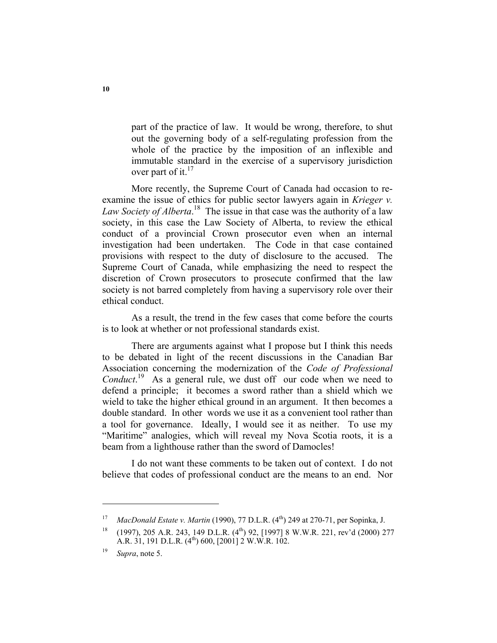part of the practice of law. It would be wrong, therefore, to shut out the governing body of a self-regulating profession from the whole of the practice by the imposition of an inflexible and immutable standard in the exercise of a supervisory jurisdiction over part of it. $^{17}$ 

More recently, the Supreme Court of Canada had occasion to reexamine the issue of ethics for public sector lawyers again in *Krieger v. Law Society of Alberta*. 18 The issue in that case was the authority of a law society, in this case the Law Society of Alberta, to review the ethical conduct of a provincial Crown prosecutor even when an internal investigation had been undertaken. The Code in that case contained provisions with respect to the duty of disclosure to the accused. The Supreme Court of Canada, while emphasizing the need to respect the discretion of Crown prosecutors to prosecute confirmed that the law society is not barred completely from having a supervisory role over their ethical conduct.

As a result, the trend in the few cases that come before the courts is to look at whether or not professional standards exist.

There are arguments against what I propose but I think this needs to be debated in light of the recent discussions in the Canadian Bar Association concerning the modernization of the *Code of Professional*  Conduct.<sup>19</sup> As a general rule, we dust off our code when we need to defend a principle; it becomes a sword rather than a shield which we wield to take the higher ethical ground in an argument. It then becomes a double standard. In other words we use it as a convenient tool rather than a tool for governance. Ideally, I would see it as neither. To use my "Maritime" analogies, which will reveal my Nova Scotia roots, it is a beam from a lighthouse rather than the sword of Damocles!

I do not want these comments to be taken out of context. I do not believe that codes of professional conduct are the means to an end. Nor

<sup>&</sup>lt;sup>17</sup> *MacDonald Estate v. Martin* (1990), 77 D.L.R. (4<sup>th</sup>) 249 at 270-71, per Sopinka, J.

 $18$  (1997), 205 A.R. 243, 149 D.L.R. (4<sup>th</sup>) 92, [1997] 8 W.W.R. 221, rev'd (2000) 277 A.R. 31, 191 D.L.R.  $(4^{th})$  600, [2001] 2 W.W.R. 102.

<sup>19</sup> *Supra*, note 5.